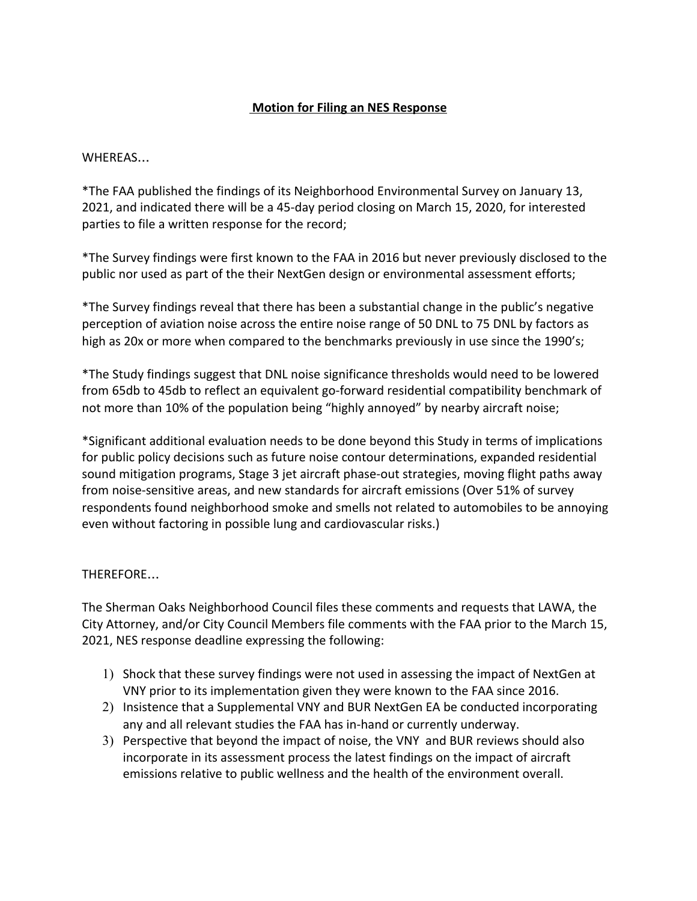## **Motion for Filing an NES Response**

## WHEREAS…

\*The FAA published the findings of its Neighborhood Environmental Survey on January 13, 2021, and indicated there will be a 45-day period closing on March 15, 2020, for interested parties to file a written response for the record;

\*The Survey findings were first known to the FAA in 2016 but never previously disclosed to the public nor used as part of the their NextGen design or environmental assessment efforts;

\*The Survey findings reveal that there has been a substantial change in the public's negative perception of aviation noise across the entire noise range of 50 DNL to 75 DNL by factors as high as 20x or more when compared to the benchmarks previously in use since the 1990's;

\*The Study findings suggest that DNL noise significance thresholds would need to be lowered from 65db to 45db to reflect an equivalent go-forward residential compatibility benchmark of not more than 10% of the population being "highly annoyed" by nearby aircraft noise;

\*Significant additional evaluation needs to be done beyond this Study in terms of implications for public policy decisions such as future noise contour determinations, expanded residential sound mitigation programs, Stage 3 jet aircraft phase-out strategies, moving flight paths away from noise-sensitive areas, and new standards for aircraft emissions (Over 51% of survey respondents found neighborhood smoke and smells not related to automobiles to be annoying even without factoring in possible lung and cardiovascular risks.)

## THEREFORE…

The Sherman Oaks Neighborhood Council files these comments and requests that LAWA, the City Attorney, and/or City Council Members file comments with the FAA prior to the March 15, 2021, NES response deadline expressing the following:

- 1) Shock that these survey findings were not used in assessing the impact of NextGen at VNY prior to its implementation given they were known to the FAA since 2016.
- 2) Insistence that a Supplemental VNY and BUR NextGen EA be conducted incorporating any and all relevant studies the FAA has in-hand or currently underway.
- 3) Perspective that beyond the impact of noise, the VNY and BUR reviews should also incorporate in its assessment process the latest findings on the impact of aircraft emissions relative to public wellness and the health of the environment overall.